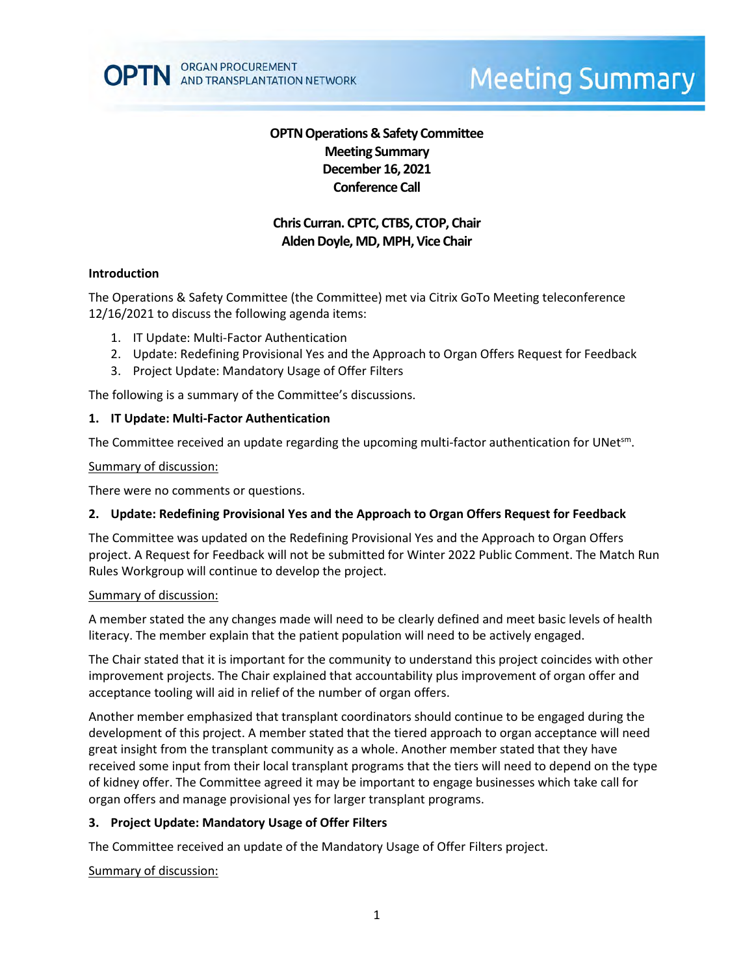# **Meeting Summary**

# **OPTN Operations & Safety Committee Meeting Summary December 16, 2021 Conference Call**

# **Chris Curran. CPTC, CTBS, CTOP, Chair** Alden Doyle, MD, MPH, Vice Chair

## **Introduction**

The Operations & Safety Committee (the Committee) met via Citrix GoTo Meeting teleconference 12/16/2021 to discuss the following agenda items:

- 1. IT Update: Multi-Factor Authentication
- 2. Update: Redefining Provisional Yes and the Approach to Organ Offers Request for Feedback
- 3. Project Update: Mandatory Usage of Offer Filters

The following is a summary of the Committee's discussions.

## **1. IT Update: Multi-Factor Authentication**

The Committee received an update regarding the upcoming multi-factor authentication for UNet<sup>sm</sup>.

## Summary of discussion:

There were no comments or questions.

## **2. Update: Redefining Provisional Yes and the Approach to Organ Offers Request for Feedback**

The Committee was updated on the Redefining Provisional Yes and the Approach to Organ Offers project. A Request for Feedback will not be submitted for Winter 2022 Public Comment. The Match Run Rules Workgroup will continue to develop the project.

## Summary of discussion:

A member stated the any changes made will need to be clearly defined and meet basic levels of health literacy. The member explain that the patient population will need to be actively engaged.

The Chair stated that it is important for the community to understand this project coincides with other improvement projects. The Chair explained that accountability plus improvement of organ offer and acceptance tooling will aid in relief of the number of organ offers.

Another member emphasized that transplant coordinators should continue to be engaged during the development of this project. A member stated that the tiered approach to organ acceptance will need great insight from the transplant community as a whole. Another member stated that they have received some input from their local transplant programs that the tiers will need to depend on the type of kidney offer. The Committee agreed it may be important to engage businesses which take call for organ offers and manage provisional yes for larger transplant programs.

## **3. Project Update: Mandatory Usage of Offer Filters**

The Committee received an update of the Mandatory Usage of Offer Filters project.

## Summary of discussion: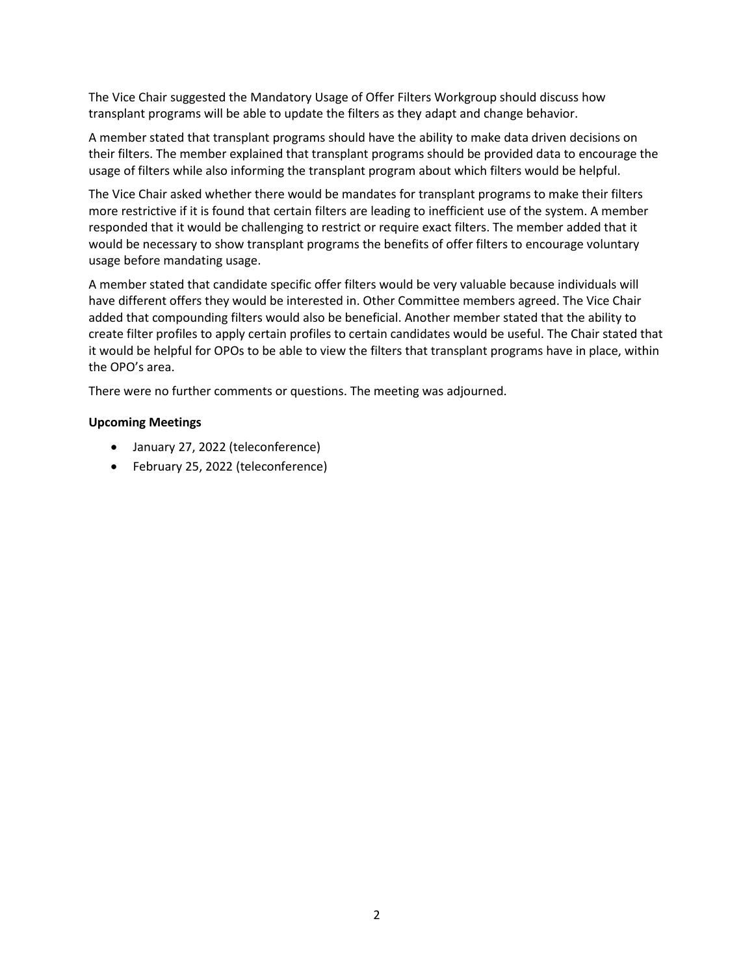The Vice Chair suggested the Mandatory Usage of Offer Filters Workgroup should discuss how transplant programs will be able to update the filters as they adapt and change behavior.

A member stated that transplant programs should have the ability to make data driven decisions on their filters. The member explained that transplant programs should be provided data to encourage the usage of filters while also informing the transplant program about which filters would be helpful.

The Vice Chair asked whether there would be mandates for transplant programs to make their filters more restrictive if it is found that certain filters are leading to inefficient use of the system. A member responded that it would be challenging to restrict or require exact filters. The member added that it would be necessary to show transplant programs the benefits of offer filters to encourage voluntary usage before mandating usage.

A member stated that candidate specific offer filters would be very valuable because individuals will have different offers they would be interested in. Other Committee members agreed. The Vice Chair added that compounding filters would also be beneficial. Another member stated that the ability to create filter profiles to apply certain profiles to certain candidates would be useful. The Chair stated that it would be helpful for OPOs to be able to view the filters that transplant programs have in place, within the OPO's area.

There were no further comments or questions. The meeting was adjourned.

#### **Upcoming Meetings**

- January 27, 2022 (teleconference)
- February 25, 2022 (teleconference)